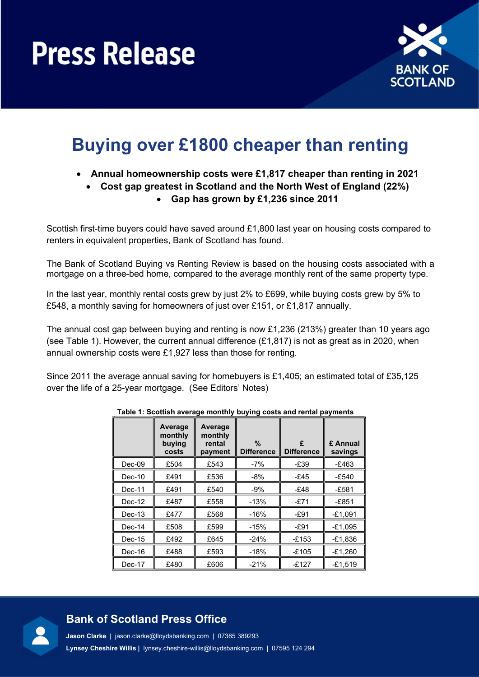

## Buying over £1800 cheaper than renting

- Annual homeownership costs were £1,817 cheaper than renting in 2021
	- Cost gap greatest in Scotland and the North West of England (22%)
		- Gap has grown by £1,236 since 2011

Scottish first-time buyers could have saved around £1,800 last year on housing costs compared to renters in equivalent properties, Bank of Scotland has found.

The Bank of Scotland Buying vs Renting Review is based on the housing costs associated with a mortgage on a three-bed home, compared to the average monthly rent of the same property type.

In the last year, monthly rental costs grew by just 2% to £699, while buying costs grew by 5% to £548, a monthly saving for homeowners of just over £151, or £1,817 annually.

The annual cost gap between buying and renting is now £1,236 (213%) greater than 10 years ago (see Table 1). However, the current annual difference (£1,817) is not as great as in 2020, when annual ownership costs were £1,927 less than those for renting.

Since 2011 the average annual saving for homebuyers is £1,405; an estimated total of £35,125 over the life of a 25-year mortgage. (See Editors' Notes)

|          | Average<br>monthly<br>buying<br>costs | Average<br>monthly<br>rental<br>payment | %<br><b>Difference</b> | £<br><b>Difference</b> | £ Annual<br>savings |
|----------|---------------------------------------|-----------------------------------------|------------------------|------------------------|---------------------|
| $Dec-09$ | £504                                  | £543                                    | $-7%$                  | $-E39$                 | $-£463$             |
| $Dec-10$ | £491                                  | £536                                    | -8%                    | -£45                   | $-E540$             |
| $Dec-11$ | £491                                  | £540                                    | $-9%$                  | -£48                   | $-E581$             |
| $Dec-12$ | £487                                  | £558                                    | $-13%$                 | -£71                   | $-E851$             |
| $Dec-13$ | £477                                  | £568                                    | -16%                   | $-E91$                 | $-£1,091$           |
| $Dec-14$ | £508                                  | £599                                    | $-15%$                 | $-E91$                 | $-£1,095$           |
| $Dec-15$ | £492                                  | £645                                    | $-24%$                 | $-£153$                | $-£1,836$           |
| Dec-16   | £488                                  | £593                                    | $-18%$                 | $-£105$                | $-£1,260$           |
| Dec-17   | £480                                  | £606                                    | $-21%$                 | $-£127$                | $-£1,519$           |

Table 1: Scottish average monthly buying costs and rental payments

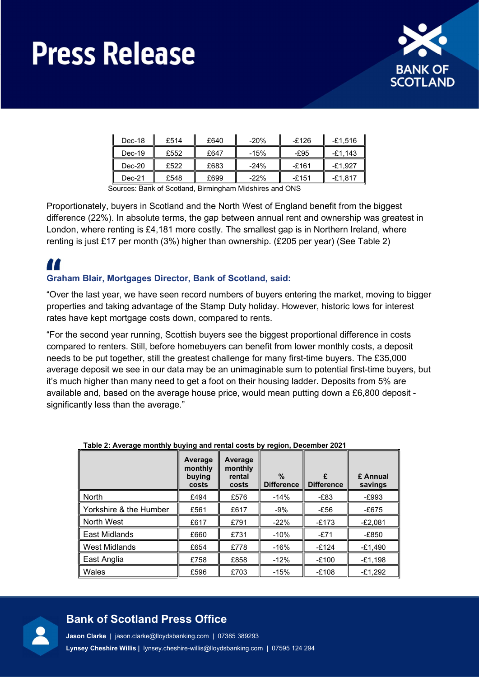

| Dec-18   | £514 | £640 | $-20%$ | $-£126$ | $-£1.516$ |
|----------|------|------|--------|---------|-----------|
| $Dec-19$ | £552 | £647 | $-15%$ | -£95    | $-£1.143$ |
| $Dec-20$ | £522 | £683 | $-24%$ | -£161   | $-£1.927$ |
| $Dec-21$ | £548 | £699 | $-22%$ | $-£151$ | $-£1.817$ |

Sources: Bank of Scotland, Birmingham Midshires and ONS

Proportionately, buyers in Scotland and the North West of England benefit from the biggest difference (22%). In absolute terms, the gap between annual rent and ownership was greatest in London, where renting is £4,181 more costly. The smallest gap is in Northern Ireland, where renting is just £17 per month (3%) higher than ownership. (£205 per year) (See Table 2)

## 11

### Graham Blair, Mortgages Director, Bank of Scotland, said:

"Over the last year, we have seen record numbers of buyers entering the market, moving to bigger properties and taking advantage of the Stamp Duty holiday. However, historic lows for interest rates have kept mortgage costs down, compared to rents.

"For the second year running, Scottish buyers see the biggest proportional difference in costs compared to renters. Still, before homebuyers can benefit from lower monthly costs, a deposit needs to be put together, still the greatest challenge for many first-time buyers. The £35,000 average deposit we see in our data may be an unimaginable sum to potential first-time buyers, but it's much higher than many need to get a foot on their housing ladder. Deposits from 5% are available and, based on the average house price, would mean putting down a £6,800 deposit significantly less than the average."

| .                      | ັ້ງ : : : ສ                           | - <i>,</i> . - ສ. - ,                 |                                    |                        |                     |
|------------------------|---------------------------------------|---------------------------------------|------------------------------------|------------------------|---------------------|
|                        | Average<br>monthly<br>buying<br>costs | Average<br>monthly<br>rental<br>costs | $\frac{0}{0}$<br><b>Difference</b> | £<br><b>Difference</b> | £ Annual<br>savings |
| North                  | £494                                  | £576                                  | $-14%$                             | -£83                   | $-E993$             |
| Yorkshire & the Humber | £561                                  | £617                                  | $-9%$                              | $-E56$                 | $-£675$             |
| North West             | £617                                  | £791                                  | $-22%$                             | $-£173$                | $-E2,081$           |
| East Midlands          | £660                                  | £731                                  | $-10%$                             | $-E71$                 | $-E850$             |
| <b>West Midlands</b>   | £654                                  | £778                                  | $-16%$                             | $-£124$                | $-£1,490$           |
| East Anglia            | £758                                  | £858                                  | $-12%$                             | $-£100$                | $-E1,198$           |
| ∥ Wales                | £596                                  | £703                                  | $-15%$                             | $-£108$                | $-£1.292$           |

### Table 2: Average monthly buying and rental costs by region, December 2021



## Bank of Scotland Press Office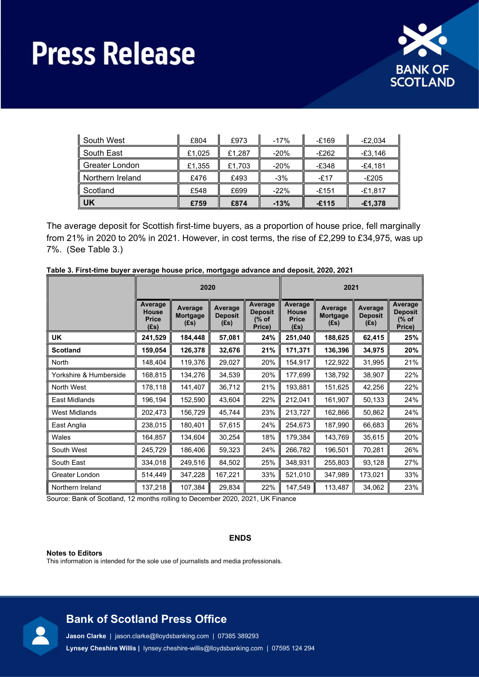

| South West       | £804   | £973   | $-17%$ | $-£169$ | $-E2,034$ |  |
|------------------|--------|--------|--------|---------|-----------|--|
| South East       | £1.025 | £1,287 | $-20%$ | $-E262$ | $-£3,146$ |  |
| Greater London   | £1,355 | £1,703 | $-20%$ | $-£348$ | $-£4,181$ |  |
| Northern Ireland | £476   | £493   | $-3%$  | $-£17$  | $-E205$   |  |
| Scotland         | £548   | £699   | $-22%$ | $-£151$ | $-£1,817$ |  |
| UK               | £759   | £874   | $-13%$ | $-£115$ | $-£1,378$ |  |

The average deposit for Scottish first-time buyers, as a proportion of house price, fell marginally from 21% in 2020 to 20% in 2021. However, in cost terms, the rise of £2,299 to £34,975, was up 7%. (See Table 3.)

|                        | 2020                                            |                             |                                   |                                                         | 2021                                               |                             |                                   |                                              |
|------------------------|-------------------------------------------------|-----------------------------|-----------------------------------|---------------------------------------------------------|----------------------------------------------------|-----------------------------|-----------------------------------|----------------------------------------------|
|                        | Average<br><b>House</b><br><b>Price</b><br>(£s) | Average<br>Mortgage<br>(Es) | Average<br><b>Deposit</b><br>(Es) | Average<br><b>Deposit</b><br>$\frac{9}{6}$ of<br>Price) | Average<br><b>House</b><br><b>Price</b><br>$(f_s)$ | Average<br>Mortgage<br>(Es) | Average<br><b>Deposit</b><br>(Es) | Average<br><b>Deposit</b><br>(% of<br>Price) |
| UK                     | 241,529                                         | 184,448                     | 57,081                            | 24%                                                     | 251,040                                            | 188,625                     | 62,415                            | 25%                                          |
| <b>Scotland</b>        | 159,054                                         | 126,378                     | 32,676                            | 21%                                                     | 171,371                                            | 136,396                     | 34,975                            | 20%                                          |
| North                  | 148,404                                         | 119,376                     | 29,027                            | 20%                                                     | 154,917                                            | 122,922                     | 31,995                            | 21%                                          |
| Yorkshire & Humberside | 168,815                                         | 134,276                     | 34,539                            | 20%                                                     | 177,699                                            | 138,792                     | 38,907                            | 22%                                          |
| North West             | 178,118                                         | 141,407                     | 36,712                            | 21%                                                     | 193,881                                            | 151,625                     | 42,256                            | 22%                                          |
| East Midlands          | 196,194                                         | 152,590                     | 43,604                            | 22%                                                     | 212,041                                            | 161,907                     | 50,133                            | 24%                                          |
| <b>West Midlands</b>   | 202,473                                         | 156,729                     | 45,744                            | 23%                                                     | 213,727                                            | 162,866                     | 50,862                            | 24%                                          |
| East Anglia            | 238,015                                         | 180,401                     | 57,615                            | 24%                                                     | 254,673                                            | 187,990                     | 66,683                            | 26%                                          |
| Wales                  | 164,857                                         | 134,604                     | 30,254                            | 18%                                                     | 179,384                                            | 143,769                     | 35,615                            | 20%                                          |
| South West             | 245,729                                         | 186,406                     | 59,323                            | 24%                                                     | 266,782                                            | 196,501                     | 70,281                            | 26%                                          |
| South East             | 334,018                                         | 249,516                     | 84,502                            | 25%                                                     | 348,931                                            | 255,803                     | 93,128                            | 27%                                          |
| Greater London         | 514,449                                         | 347,228                     | 167,221                           | 33%                                                     | 521,010                                            | 347,989                     | 173,021                           | 33%                                          |
| Northern Ireland       | 137,218                                         | 107,384                     | 29,834                            | 22%                                                     | 147,549                                            | 113,487                     | 34,062                            | 23%                                          |

Source: Bank of Scotland, 12 months rolling to December 2020, 2021, UK Finance

ENDS

### Notes to Editors

This information is intended for the sole use of journalists and media professionals.



## Bank of Scotland Press Office